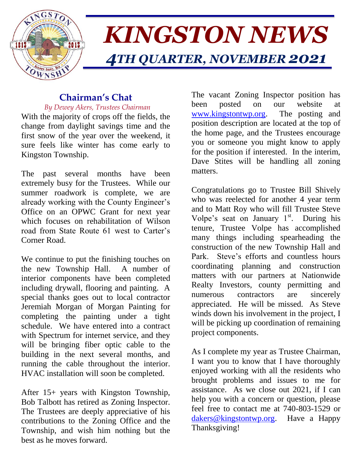

# *KINGSTON NEWS 4TH QUARTER, NOVEMBER 2021*

# **Chairman's Chat**

 *By Dewey Akers, Trustees Chairman* With the majority of crops off the fields, the

change from daylight savings time and the first snow of the year over the weekend, it sure feels like winter has come early to Kingston Township.

The past several months have been extremely busy for the Trustees. While our summer roadwork is complete, we are already working with the County Engineer's Office on an OPWC Grant for next year which focuses on rehabilitation of Wilson road from State Route 61 west to Carter's Corner Road.

We continue to put the finishing touches on the new Township Hall. A number of interior components have been completed including drywall, flooring and painting. A special thanks goes out to local contractor Jeremiah Morgan of Morgan Painting for completing the painting under a tight schedule. We have entered into a contract with Spectrum for internet service, and they will be bringing fiber optic cable to the building in the next several months, and running the cable throughout the interior. HVAC installation will soon be completed.

After 15+ years with Kingston Township, Bob Talbott has retired as Zoning Inspector. The Trustees are deeply appreciative of his contributions to the Zoning Office and the Township, and wish him nothing but the best as he moves forward.

The vacant Zoning Inspector position has been posted on our website at [www.kingstontwp.org.](http://www.kingstontwp.org/) The posting and position description are located at the top of the home page, and the Trustees encourage you or someone you might know to apply for the position if interested. In the interim, Dave Stites will be handling all zoning matters.

Congratulations go to Trustee Bill Shively who was reelected for another 4 year term and to Matt Roy who will fill Trustee Steve Volpe's seat on January  $1<sup>st</sup>$ . During his tenure, Trustee Volpe has accomplished many things including spearheading the construction of the new Township Hall and Park. Steve's efforts and countless hours coordinating planning and construction matters with our partners at Nationwide Realty Investors, county permitting and numerous contractors are sincerely appreciated. He will be missed. As Steve winds down his involvement in the project, I will be picking up coordination of remaining project components.

As I complete my year as Trustee Chairman, I want you to know that I have thoroughly enjoyed working with all the residents who brought problems and issues to me for assistance. As we close out 2021, if I can help you with a concern or question, please feel free to contact me at 740-803-1529 or [dakers@kingstontwp.org.](mailto:dakers@kingstontwp.org) Have a Happy Thanksgiving!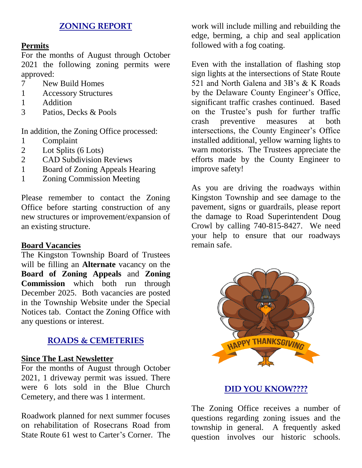## **ZONING REPORT**

#### **Permits**

For the months of August through October 2021 the following zoning permits were approved:

- 7 New Build Homes
- 1 Accessory Structures
- 1 Addition
- 3 Patios, Decks & Pools

In addition, the Zoning Office processed:

- 1 Complaint
- 2 Lot Splits (6 Lots)
- 2 CAD Subdivision Reviews
- 1 Board of Zoning Appeals Hearing
- 1 Zoning Commission Meeting

Please remember to contact the Zoning Office before starting construction of any new structures or improvement/expansion of an existing structure.

#### **Board Vacancies**

The Kingston Township Board of Trustees will be filling an **Alternate** vacancy on the **Board of Zoning Appeals** and **Zoning Commission** which both run through December 2025. Both vacancies are posted in the Township Website under the Special Notices tab. Contact the Zoning Office with any questions or interest.

#### **ROADS & CEMETERIES**

#### **Since The Last Newsletter**

For the months of August through October 2021, 1 driveway permit was issued. There were 6 lots sold in the Blue Church Cemetery, and there was 1 interment.

Roadwork planned for next summer focuses on rehabilitation of Rosecrans Road from State Route 61 west to Carter's Corner. The

work will include milling and rebuilding the edge, berming, a chip and seal application followed with a fog coating.

Even with the installation of flashing stop sign lights at the intersections of State Route 521 and North Galena and 3B's & K Roads by the Delaware County Engineer's Office, significant traffic crashes continued. Based on the Trustee's push for further traffic crash preventive measures at both intersections, the County Engineer's Office installed additional, yellow warning lights to warn motorists. The Trustees appreciate the efforts made by the County Engineer to improve safety!

As you are driving the roadways within Kingston Township and see damage to the pavement, signs or guardrails, please report the damage to Road Superintendent Doug Crowl by calling 740-815-8427. We need your help to ensure that our roadways remain safe.



# **DID YOU KNOW????**

The Zoning Office receives a number of questions regarding zoning issues and the township in general. A frequently asked question involves our historic schools.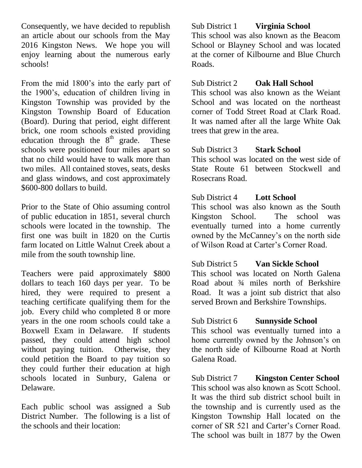Consequently, we have decided to republish an article about our schools from the May 2016 Kingston News. We hope you will enjoy learning about the numerous early schools!

From the mid 1800's into the early part of the 1900's, education of children living in Kingston Township was provided by the Kingston Township Board of Education (Board). During that period, eight different brick, one room schools existed providing education through the  $8<sup>th</sup>$  grade. These schools were positioned four miles apart so that no child would have to walk more than two miles. All contained stoves, seats, desks and glass windows, and cost approximately \$600-800 dollars to build.

Prior to the State of Ohio assuming control of public education in 1851, several church schools were located in the township. The first one was built in 1820 on the Curtis farm located on Little Walnut Creek about a mile from the south township line.

Teachers were paid approximately \$800 dollars to teach 160 days per year. To be hired, they were required to present a teaching certificate qualifying them for the job. Every child who completed 8 or more years in the one room schools could take a Boxwell Exam in Delaware. If students passed, they could attend high school without paying tuition. Otherwise, they could petition the Board to pay tuition so they could further their education at high schools located in Sunbury, Galena or Delaware.

Each public school was assigned a Sub District Number. The following is a list of the schools and their location:

Sub District 1 **Virginia School** This school was also known as the Beacom School or Blayney School and was located at the corner of Kilbourne and Blue Church Roads.

#### Sub District 2 **Oak Hall School**

This school was also known as the Weiant School and was located on the northeast corner of Todd Street Road at Clark Road. It was named after all the large White Oak trees that grew in the area.

## Sub District 3 **Stark School**

This school was located on the west side of State Route 61 between Stockwell and Rosecrans Road.

## Sub District 4 **Lott School**

This school was also known as the South Kingston School. The school was eventually turned into a home currently owned by the McCanney's on the north side of Wilson Road at Carter's Corner Road.

Sub District 5 **Van Sickle School** This school was located on North Galena Road about ¾ miles north of Berkshire Road. It was a joint sub district that also served Brown and Berkshire Townships.

# Sub District 6 **Sunnyside School**

This school was eventually turned into a home currently owned by the Johnson's on the north side of Kilbourne Road at North Galena Road.

Sub District 7 **Kingston Center School** This school was also known as Scott School. It was the third sub district school built in the township and is currently used as the Kingston Township Hall located on the corner of SR 521 and Carter's Corner Road. The school was built in 1877 by the Owen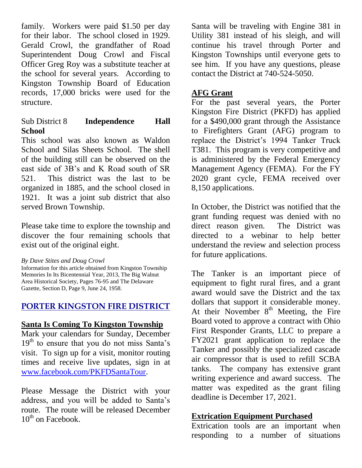family. Workers were paid \$1.50 per day for their labor. The school closed in 1929. Gerald Crowl, the grandfather of Road Superintendent Doug Crowl and Fiscal Officer Greg Roy was a substitute teacher at the school for several years. According to Kingston Township Board of Education records, 17,000 bricks were used for the structure.

### Sub District 8 **Independence Hall School**

This school was also known as Waldon School and Silas Sheets School. The shell of the building still can be observed on the east side of 3B's and K Road south of SR 521. This district was the last to be organized in 1885, and the school closed in 1921. It was a joint sub district that also served Brown Township.

Please take time to explore the township and discover the four remaining schools that exist out of the original eight.

*By Dave Stites and Doug Crowl* 

Information for this article obtained from Kingston Township Memories In Its Bicentennial Year, 2013, The Big Walnut Area Historical Society, Pages 76-95 and The Delaware Gazette, Section D, Page 9, June 24, 1958.

# **PORTER KINGSTON FIRE DISTRICT**

# **Santa Is Coming To Kingston Township**

Mark your calendars for Sunday, December  $19<sup>th</sup>$  to ensure that you do not miss Santa's visit. To sign up for a visit, monitor routing times and receive live updates, sign in at [www.facebook.com/PKFDSantaTour.](http://www.facebook.com/PKFDSantaTour)

Please Message the District with your address, and you will be added to Santa's route. The route will be released December  $10^{th}$  on Facebook.

Santa will be traveling with Engine 381 in Utility 381 instead of his sleigh, and will continue his travel through Porter and Kingston Townships until everyone gets to see him. If you have any questions, please contact the District at 740-524-5050.

# **AFG Grant**

For the past several years, the Porter Kingston Fire District (PKFD) has applied for a \$490,000 grant through the Assistance to Firefighters Grant (AFG) program to replace the District's 1994 Tanker Truck T381. This program is very competitive and is administered by the Federal Emergency Management Agency (FEMA). For the FY 2020 grant cycle, FEMA received over 8,150 applications.

In October, the District was notified that the grant funding request was denied with no direct reason given. The District was directed to a webinar to help better understand the review and selection process for future applications.

The Tanker is an important piece of equipment to fight rural fires, and a grant award would save the District and the tax dollars that support it considerable money. At their November  $8<sup>th</sup>$  Meeting, the Fire Board voted to approve a contract with Ohio First Responder Grants, LLC to prepare a FY2021 grant application to replace the Tanker and possibly the specialized cascade air compressor that is used to refill SCBA tanks. The company has extensive grant writing experience and award success. The matter was expedited as the grant filing deadline is December 17, 2021.

# **Extrication Equipment Purchased**

Extrication tools are an important when responding to a number of situations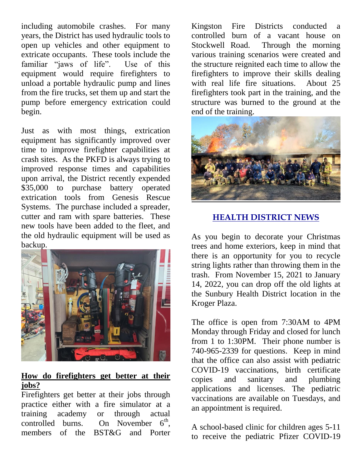including automobile crashes. For many years, the District has used hydraulic tools to open up vehicles and other equipment to extricate occupants. These tools include the familiar "jaws of life". Use of this equipment would require firefighters to unload a portable hydraulic pump and lines from the fire trucks, set them up and start the pump before emergency extrication could begin.

Just as with most things, extrication equipment has significantly improved over time to improve firefighter capabilities at crash sites. As the PKFD is always trying to improved response times and capabilities upon arrival, the District recently expended \$35,000 to purchase battery operated extrication tools from Genesis Rescue Systems. The purchase included a spreader, cutter and ram with spare batteries. These new tools have been added to the fleet, and the old hydraulic equipment will be used as backup.



## **How do firefighters get better at their jobs?**

Firefighters get better at their jobs through practice either with a fire simulator at a training academy or through actual controlled burns. On November  $6<sup>th</sup>$ , members of the BST&G and Porter

Kingston Fire Districts conducted a controlled burn of a vacant house on Stockwell Road. Through the morning various training scenarios were created and the structure reignited each time to allow the firefighters to improve their skills dealing with real life fire situations. About 25 firefighters took part in the training, and the structure was burned to the ground at the end of the training.



# **HEALTH DISTRICT NEWS**

As you begin to decorate your Christmas trees and home exteriors, keep in mind that there is an opportunity for you to recycle string lights rather than throwing them in the trash. From November 15, 2021 to January 14, 2022, you can drop off the old lights at the Sunbury Health District location in the Kroger Plaza.

The office is open from 7:30AM to 4PM Monday through Friday and closed for lunch from 1 to 1:30PM. Their phone number is 740-965-2339 for questions. Keep in mind that the office can also assist with pediatric COVID-19 vaccinations, birth certificate copies and sanitary and plumbing applications and licenses. The pediatric vaccinations are available on Tuesdays, and an appointment is required.

A school-based clinic for children ages 5-11 to receive the pediatric Pfizer COVID-19